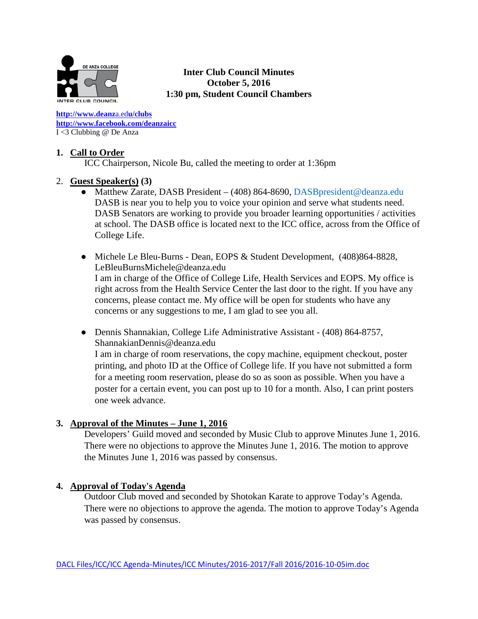

**Inter Club Council Minutes October 5, 2016 1:30 pm, Student Council Chambers** 

**[http://www.deanz](http://www.deanza.edu/clubs)**[a.ed](http://www.deanza.edu/clubs)**[u/clubs](http://www.deanza.edu/clubs) [http://www.facebook.com/deanzaicc](http://www.facebook.com/home.php#!/group.php?gid=59034552686)** I <3 Clubbing @ De Anza

## **1. Call to Order**

ICC Chairperson, Nicole Bu, called the meeting to order at 1:36pm

## 2. **Guest Speaker(s) (3)**

- Matthew Zarate, DASB President (408) 864-8690, DASB president @deanza.edu DASB is near you to help you to voice your opinion and serve what students need. DASB Senators are working to provide you broader learning opportunities / activities at school. The DASB office is located next to the ICC office, across from the Office of College Life.
- Michele Le Bleu-Burns Dean, EOPS & Student Development, (408)864-8828, [LeBleuBurnsMichele@deanza.edu](mailto:LeBleuBurnsMichele@deanza.edu) I am in charge of the Office of College Life, Health Services and EOPS. My office is right across from the Health Service Center the last door to the right. If you have any concerns, please contact me. My office will be open for students who have any concerns or any suggestions to me, I am glad to see you all.
- Dennis Shannakian, College Life Administrative Assistant (408) 864-8757, ShannakianDennis@deanza.edu I am in charge of room reservations, the copy machine, equipment checkout, poster printing, and photo ID at the Office of College life. If you have not submitted a form for a meeting room reservation, please do so as soon as possible. When you have a poster for a certain event, you can post up to 10 for a month. Also, I can print posters one week advance.

## **3. Approval of the Minutes – June 1, 2016**

Developers' Guild moved and seconded by Music Club to approve Minutes June 1, 2016. There were no objections to approve the Minutes June 1, 2016. The motion to approve the Minutes June 1, 2016 was passed by consensus.

## **4. Approval of Today's Agenda**

Outdoor Club moved and seconded by Shotokan Karate to approve Today's Agenda. There were no objections to approve the agenda. The motion to approve Today's Agenda was passed by consensus.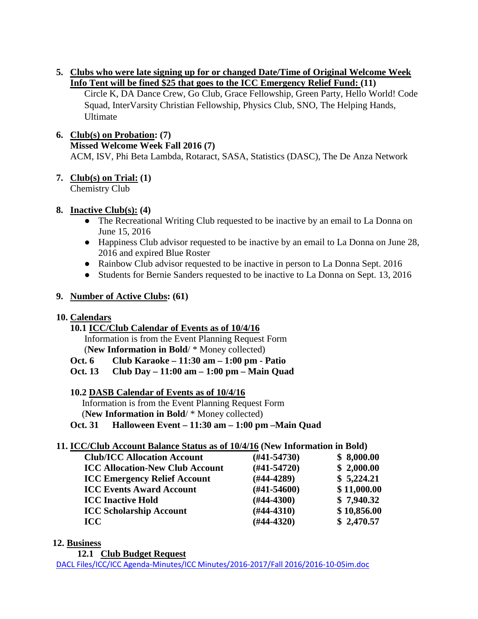## **5. Clubs who were late signing up for or changed Date/Time of Original Welcome Week Info Tent will be fined \$25 that goes to the ICC Emergency Relief Fund: (11)**

Circle K, DA Dance Crew, Go Club, Grace Fellowship, Green Party, Hello World! Code Squad, InterVarsity Christian Fellowship, Physics Club, SNO, The Helping Hands, Ultimate

#### **6. Club(s) on Probation: (7) Missed Welcome Week Fall 2016 (7)** ACM, ISV, Phi Beta Lambda, Rotaract, SASA, Statistics (DASC), The De Anza Network

#### **7. Club(s) on Trial: (1)** Chemistry Club

# **8. Inactive Club(s): (4)**

- The Recreational Writing Club requested to be inactive by an email to La Donna on June 15, 2016
- Happiness Club advisor requested to be inactive by an email to La Donna on June 28, 2016 and expired Blue Roster
- Rainbow Club advisor requested to be inactive in person to La Donna Sept. 2016
- Students for Bernie Sanders requested to be inactive to La Donna on Sept. 13, 2016

# **9. Number of Active Clubs: (61)**

## **10. Calendars**

## **10.1 ICC/Club Calendar of Events as of 10/4/16**

 Information is from the Event Planning Request Form (**New Information in Bold**/ \* Money collected)

**Oct. 6 Club Karaoke – 11:30 am – 1:00 pm - Patio**

**Oct. 13 Club Day – 11:00 am – 1:00 pm – Main Quad**

## **10.2 DASB Calendar of Events as of 10/4/16**

Information is from the Event Planning Request Form

(**New Information in Bold**/ \* Money collected)

**Oct. 31 Halloween Event – 11:30 am – 1:00 pm –Main Quad**

# **11. ICC/Club Account Balance Status as of 10/4/16 (New Information in Bold)**

| <b>Club/ICC Allocation Account</b>     | $(H41-54730)$    | \$8,000.00  |
|----------------------------------------|------------------|-------------|
| <b>ICC Allocation-New Club Account</b> | $(#41-54720)$    | \$2,000.00  |
| <b>ICC Emergency Relief Account</b>    | $(H44-4289)$     | \$5,224.21  |
| <b>ICC Events Award Account</b>        | $(\#41 - 54600)$ | \$11,000.00 |
| <b>ICC Inactive Hold</b>               | $(\#44-4300)$    | \$7,940.32  |
| <b>ICC Scholarship Account</b>         | $(H44-4310)$     | \$10,856.00 |
| <b>ICC</b>                             | $(H44-4320)$     | \$2,470.57  |

## **12. Business**

**12.1 Club Budget Request**

DACL Files/ICC/ICC Agenda-Minutes/ICC Minutes/2016-2017/Fall 2016/2016-10-05im.doc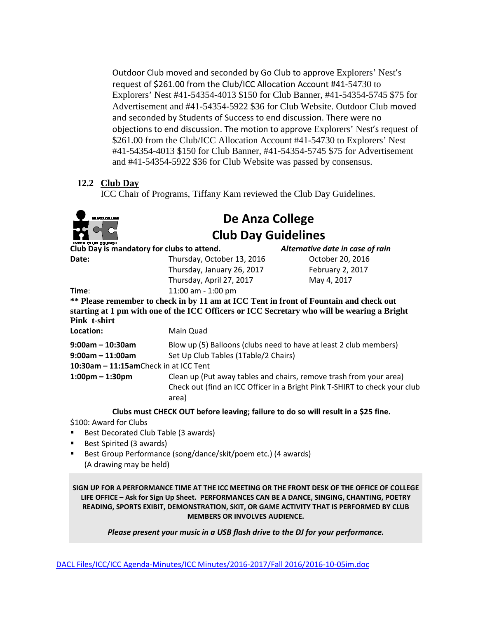Outdoor Club moved and seconded by Go Club to approve Explorers' Nest's request of \$261.00 from the Club/ICC Allocation Account #41-54730 to Explorers' Nest #41-54354-4013 \$150 for Club Banner, #41-54354-5745 \$75 for Advertisement and #41-54354-5922 \$36 for Club Website. Outdoor Club moved and seconded by Students of Success to end discussion. There were no objections to end discussion. The motion to approve Explorers' Nest's request of \$261.00 from the Club/ICC Allocation Account #41-54730 to Explorers' Nest #41-54354-4013 \$150 for Club Banner, #41-54354-5745 \$75 for Advertisement and #41-54354-5922 \$36 for Club Website was passed by consensus.

## **12.2 Club Day**

ICC Chair of Programs, Tiffany Kam reviewed the Club Day Guidelines.



# **De Anza College Club Day Guidelines**

| Club Day is mandatory for clubs to attend. |                                                                   | Alternative date in case of rain                                                            |
|--------------------------------------------|-------------------------------------------------------------------|---------------------------------------------------------------------------------------------|
| Date:                                      | Thursday, October 13, 2016                                        | October 20, 2016                                                                            |
|                                            | Thursday, January 26, 2017                                        | February 2, 2017                                                                            |
|                                            | Thursday, April 27, 2017                                          | May 4, 2017                                                                                 |
| Time:                                      | 11:00 am - 1:00 pm                                                |                                                                                             |
|                                            |                                                                   | ** Please remember to check in by 11 am at ICC Tent in front of Fountain and check out      |
| Pink t-shirt                               |                                                                   | starting at 1 pm with one of the ICC Officers or ICC Secretary who will be wearing a Bright |
| Location:                                  | Main Quad                                                         |                                                                                             |
| $9:00$ am - 10:30am                        | Blow up (5) Balloons (clubs need to have at least 2 club members) |                                                                                             |
| $9:00$ am – 11:00am                        | Set Up Club Tables (1Table/2 Chairs)                              |                                                                                             |
| 10:30am - 11:15amCheck in at ICC Tent      |                                                                   |                                                                                             |
| $1:00 \text{pm} - 1:30 \text{pm}$          |                                                                   | Clean up (Put away tables and chairs, remove trash from your area)                          |
|                                            | area)                                                             | Check out (find an ICC Officer in a Bright Pink T-SHIRT to check your club                  |
|                                            |                                                                   | Clubs must CHECK OUT before leaving; failure to do so will result in a \$25 fine.           |

\$100: Award for Clubs

- Best Decorated Club Table (3 awards)
- Best Spirited (3 awards)
- Best Group Performance (song/dance/skit/poem etc.) (4 awards) (A drawing may be held)

**SIGN UP FOR A PERFORMANCE TIME AT THE ICC MEETING OR THE FRONT DESK OF THE OFFICE OF COLLEGE LIFE OFFICE – Ask for Sign Up Sheet. PERFORMANCES CAN BE A DANCE, SINGING, CHANTING, POETRY READING, SPORTS EXIBIT, DEMONSTRATION, SKIT, OR GAME ACTIVITY THAT IS PERFORMED BY CLUB MEMBERS OR INVOLVES AUDIENCE.**

*Please present your music in a USB flash drive to the DJ for your performance.*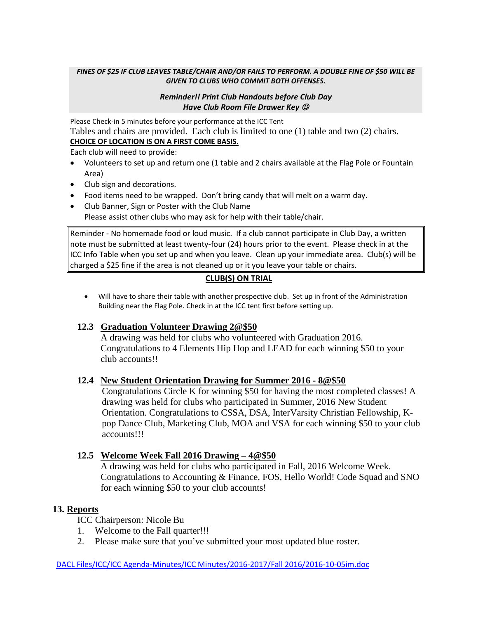#### *FINES OF \$25 IF CLUB LEAVES TABLE/CHAIR AND/OR FAILS TO PERFORM. A DOUBLE FINE OF \$50 WILL BE GIVEN TO CLUBS WHO COMMIT BOTH OFFENSES.*

#### *Reminder!! Print Club Handouts before Club Day Have Club Room File Drawer Key*

Please Check-in 5 minutes before your performance at the ICC Tent Tables and chairs are provided. Each club is limited to one (1) table and two (2) chairs. **CHOICE OF LOCATION IS ON A FIRST COME BASIS.**

Each club will need to provide:

- Volunteers to set up and return one (1 table and 2 chairs available at the Flag Pole or Fountain Area)
- Club sign and decorations.
- Food items need to be wrapped. Don't bring candy that will melt on a warm day.
- Club Banner, Sign or Poster with the Club Name Please assist other clubs who may ask for help with their table/chair.

Reminder - No homemade food or loud music. If a club cannot participate in Club Day, a written note must be submitted at least twenty-four (24) hours prior to the event. Please check in at the ICC Info Table when you set up and when you leave. Clean up your immediate area. Club(s) will be charged a \$25 fine if the area is not cleaned up or it you leave your table or chairs.

#### **CLUB(S) ON TRIAL**

• Will have to share their table with another prospective club. Set up in front of the Administration Building near the Flag Pole. Check in at the ICC tent first before setting up.

#### **12.3 Graduation Volunteer Drawing 2@\$50**

A drawing was held for clubs who volunteered with Graduation 2016. Congratulations to 4 Elements Hip Hop and LEAD for each winning \$50 to your club accounts!!

#### **12.4 New Student Orientation Drawing for Summer 2016 - 8@\$50**

Congratulations Circle K for winning \$50 for having the most completed classes! A drawing was held for clubs who participated in Summer, 2016 New Student Orientation. Congratulations to CSSA, DSA, InterVarsity Christian Fellowship, Kpop Dance Club, Marketing Club, MOA and VSA for each winning \$50 to your club accounts!!!

#### **12.5 Welcome Week Fall 2016 Drawing – 4@\$50**

A drawing was held for clubs who participated in Fall, 2016 Welcome Week. Congratulations to Accounting & Finance, FOS, Hello World! Code Squad and SNO for each winning \$50 to your club accounts!

#### **13. Reports**

ICC Chairperson: Nicole Bu

- 1. Welcome to the Fall quarter!!!
- 2. Please make sure that you've submitted your most updated blue roster.

#### DACL Files/ICC/ICC Agenda-Minutes/ICC Minutes/2016-2017/Fall 2016/2016-10-05im.doc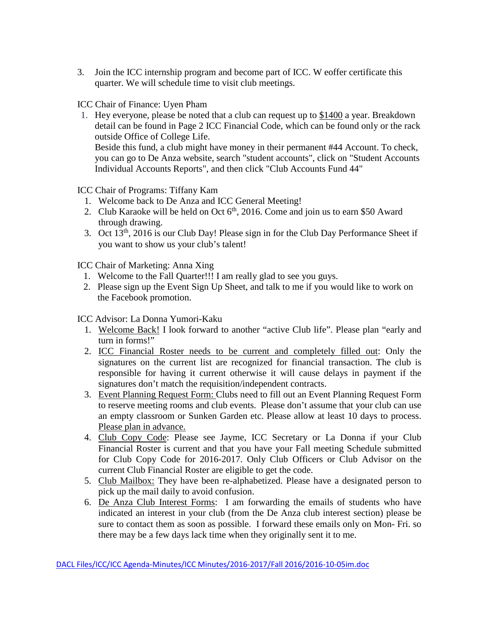3. Join the ICC internship program and become part of ICC. W eoffer certificate this quarter. We will schedule time to visit club meetings.

ICC Chair of Finance: Uyen Pham

1. Hey everyone, please be noted that a club can request up to [\\$1400](https://www.facebook.com/UyenXdxdxxLalala?fref=ts) a year. Breakdown detail can be found in Page 2 ICC Financial Code, which can be found only or the rack outside Office of College Life. Beside this fund, a club might have money in their permanent #44 Account. To check, you can go to De Anza website, search "student accounts", click on "Student Accounts

Individual Accounts Reports", and then click "Club Accounts Fund 44"

ICC Chair of Programs: Tiffany Kam

- 1. Welcome back to De Anza and ICC General Meeting!
- 2. Club Karaoke will be held on Oct  $6<sup>th</sup>$ , 2016. Come and join us to earn \$50 Award through drawing.
- 3. Oct 13th, 2016 is our Club Day! Please sign in for the Club Day Performance Sheet if you want to show us your club's talent!

ICC Chair of Marketing: Anna Xing

- 1. Welcome to the Fall Quarter!!! I am really glad to see you guys.
- 2. Please sign up the Event Sign Up Sheet, and talk to me if you would like to work on the Facebook promotion.

ICC Advisor: La Donna Yumori-Kaku

- 1. Welcome Back! I look forward to another "active Club life". Please plan "early and turn in forms!"
- 2. ICC Financial Roster needs to be current and completely filled out: Only the signatures on the current list are recognized for financial transaction. The club is responsible for having it current otherwise it will cause delays in payment if the signatures don't match the requisition/independent contracts.
- 3. Event Planning Request Form: Clubs need to fill out an Event Planning Request Form to reserve meeting rooms and club events. Please don't assume that your club can use an empty classroom or Sunken Garden etc. Please allow at least 10 days to process. Please plan in advance.
- 4. Club Copy Code: Please see Jayme, ICC Secretary or La Donna if your Club Financial Roster is current and that you have your Fall meeting Schedule submitted for Club Copy Code for 2016-2017. Only Club Officers or Club Advisor on the current Club Financial Roster are eligible to get the code.
- 5. Club Mailbox: They have been re-alphabetized. Please have a designated person to pick up the mail daily to avoid confusion.
- 6. De Anza Club Interest Forms: I am forwarding the emails of students who have indicated an interest in your club (from the De Anza club interest section) please be sure to contact them as soon as possible. I forward these emails only on Mon- Fri. so there may be a few days lack time when they originally sent it to me.